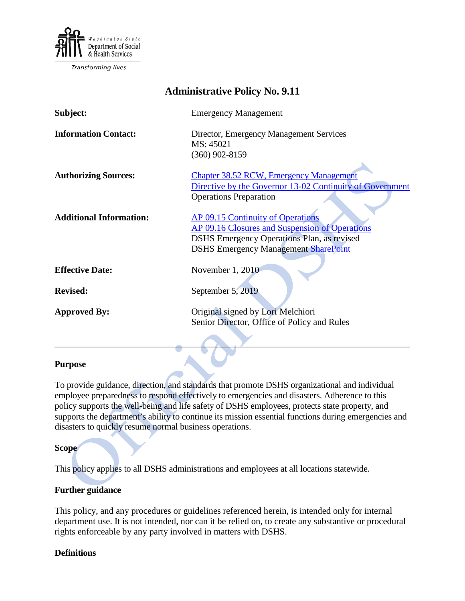

Transforming lives

| <b>Administrative Policy No. 9.11</b> |                                                                                                                                                                                         |
|---------------------------------------|-----------------------------------------------------------------------------------------------------------------------------------------------------------------------------------------|
| Subject:                              | <b>Emergency Management</b>                                                                                                                                                             |
| <b>Information Contact:</b>           | Director, Emergency Management Services<br>MS: 45021<br>$(360)$ 902-8159                                                                                                                |
| <b>Authorizing Sources:</b>           | <b>Chapter 38.52 RCW, Emergency Management</b><br>Directive by the Governor 13-02 Continuity of Government<br><b>Operations Preparation</b>                                             |
| <b>Additional Information:</b>        | AP 09.15 Continuity of Operations<br>AP 09.16 Closures and Suspension of Operations<br><b>DSHS</b> Emergency Operations Plan, as revised<br><b>DSHS Emergency Management SharePoint</b> |
| <b>Effective Date:</b>                | November 1, 2010                                                                                                                                                                        |
| <b>Revised:</b>                       | September 5, 2019                                                                                                                                                                       |
| <b>Approved By:</b>                   | Original signed by Lori Melchiori<br>Senior Director, Office of Policy and Rules                                                                                                        |

#### **Purpose**

To provide guidance, direction, and standards that promote DSHS organizational and individual employee preparedness to respond effectively to emergencies and disasters. Adherence to this policy supports the well-being and life safety of DSHS employees, protects state property, and supports the department's ability to continue its mission essential functions during emergencies and disasters to quickly resume normal business operations.

#### **Scope**

This policy applies to all DSHS administrations and employees at all locations statewide.

## **Further guidance**

This policy, and any procedures or guidelines referenced herein, is intended only for internal department use. It is not intended, nor can it be relied on, to create any substantive or procedural rights enforceable by any party involved in matters with DSHS.

#### **Definitions**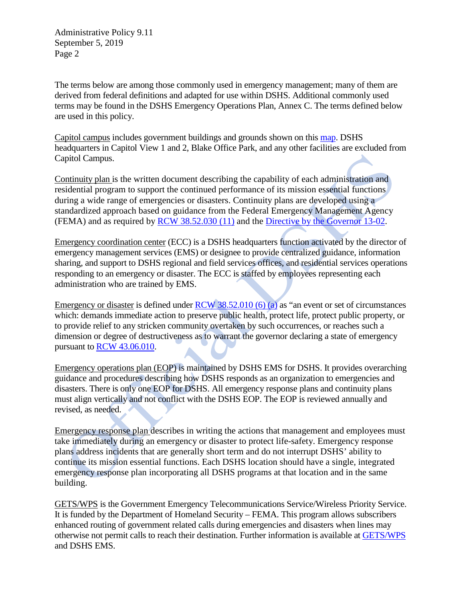The terms below are among those commonly used in emergency management; many of them are derived from federal definitions and adapted for use within DSHS. Additional commonly used terms may be found in the DSHS Emergency Operations Plan, Annex C. The terms defined below are used in this policy.

Capitol campus includes government buildings and grounds shown on this [map.](http://www.des.wa.gov/SiteCollectionDocuments/campus-map.pdf) DSHS headquarters in Capitol View 1 and 2, Blake Office Park, and any other facilities are excluded from Capitol Campus.

Continuity plan is the written document describing the capability of each administration and residential program to support the continued performance of its mission essential functions during a wide range of emergencies or disasters. Continuity plans are developed using a standardized approach based on guidance from the Federal Emergency Management Agency (FEMA) and as required by [RCW 38.52.030 \(11\)](https://app.leg.wa.gov/RCW/default.aspx?cite=38.52.030) and the [Directive by the Governor 13-02.](https://www.governor.wa.gov/sites/default/files/directive/dir_13-02.pdf)

Emergency coordination center (ECC) is a DSHS headquarters function activated by the director of emergency management services (EMS) or designee to provide centralized guidance, information sharing, and support to DSHS regional and field services offices, and residential services operations responding to an emergency or disaster. The ECC is staffed by employees representing each administration who are trained by EMS.

Emergency or disaster is defined under [RCW 38.52.010](https://app.leg.wa.gov/RCW/default.aspx?cite=38.52.010) (6) (a) as "an event or set of circumstances which: demands immediate action to preserve public health, protect life, protect public property, or to provide relief to any stricken community overtaken by such occurrences, or reaches such a dimension or degree of destructiveness as to warrant the governor declaring a state of emergency pursuant to [RCW 43.06.010.](https://app.leg.wa.gov/RCW/default.aspx?cite=43.06.010)

Emergency operations plan (EOP) is maintained by DSHS EMS for DSHS. It provides overarching guidance and procedures describing how DSHS responds as an organization to emergencies and disasters. There is only one EOP for DSHS. All emergency response plans and continuity plans must align vertically and not conflict with the DSHS EOP. The EOP is reviewed annually and revised, as needed.

Emergency response plan describes in writing the actions that management and employees must take immediately during an emergency or disaster to protect life-safety. Emergency response plans address incidents that are generally short term and do not interrupt DSHS' ability to continue its mission essential functions. Each DSHS location should have a single, integrated emergency response plan incorporating all DSHS programs at that location and in the same building.

GETS/WPS is the Government Emergency Telecommunications Service/Wireless Priority Service. It is funded by the Department of Homeland Security – FEMA. This program allows subscribers enhanced routing of government related calls during emergencies and disasters when lines may otherwise not permit calls to reach their destination. Further information is available at [GETS/WPS](https://www.dhs.gov/government-emergency-telecommunications-service-gets) and DSHS EMS.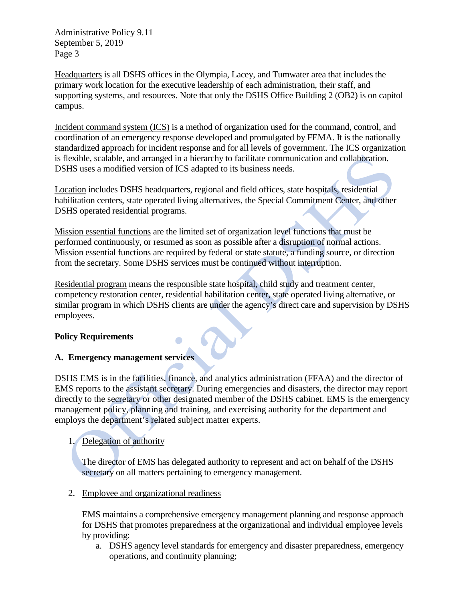Headquarters is all DSHS offices in the Olympia, Lacey, and Tumwater area that includes the primary work location for the executive leadership of each administration, their staff, and supporting systems, and resources. Note that only the DSHS Office Building 2 (OB2) is on capitol campus.

Incident command system (ICS) is a method of organization used for the command, control, and coordination of an emergency response developed and promulgated by FEMA. It is the nationally standardized approach for incident response and for all levels of government. The ICS organization is flexible, scalable, and arranged in a hierarchy to facilitate communication and collaboration. DSHS uses a modified version of ICS adapted to its business needs.

Location includes DSHS headquarters, regional and field offices, state hospitals, residential habilitation centers, state operated living alternatives, the Special Commitment Center, and other DSHS operated residential programs.

Mission essential functions are the limited set of organization level functions that must be performed continuously, or resumed as soon as possible after a disruption of normal actions. Mission essential functions are required by federal or state statute, a funding source, or direction from the secretary. Some DSHS services must be continued without interruption.

Residential program means the responsible state hospital, child study and treatment center, competency restoration center, residential habilitation center, state operated living alternative, or similar program in which DSHS clients are under the agency's direct care and supervision by DSHS employees.

# **Policy Requirements**

# **A. Emergency management services**

DSHS EMS is in the facilities, finance, and analytics administration (FFAA) and the director of EMS reports to the assistant secretary. During emergencies and disasters, the director may report directly to the secretary or other designated member of the DSHS cabinet. EMS is the emergency management policy, planning and training, and exercising authority for the department and employs the department's related subject matter experts.

# 1. Delegation of authority

The director of EMS has delegated authority to represent and act on behalf of the DSHS secretary on all matters pertaining to emergency management.

2. Employee and organizational readiness

EMS maintains a comprehensive emergency management planning and response approach for DSHS that promotes preparedness at the organizational and individual employee levels by providing:

a. DSHS agency level standards for emergency and disaster preparedness, emergency operations, and continuity planning;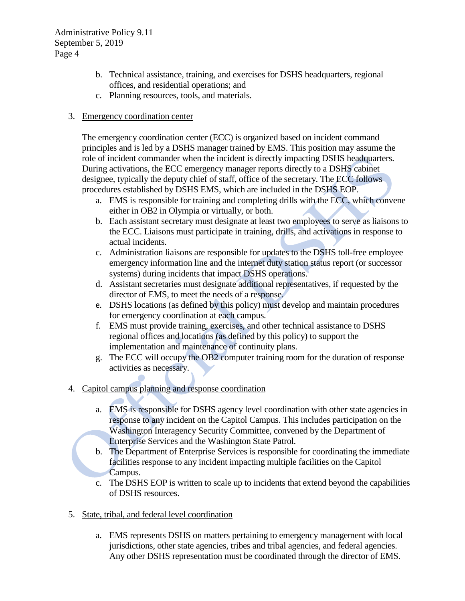- b. Technical assistance, training, and exercises for DSHS headquarters, regional offices, and residential operations; and
- c. Planning resources, tools, and materials.

## 3. Emergency coordination center

The emergency coordination center (ECC) is organized based on incident command principles and is led by a DSHS manager trained by EMS. This position may assume the role of incident commander when the incident is directly impacting DSHS headquarters. During activations, the ECC emergency manager reports directly to a DSHS cabinet designee, typically the deputy chief of staff, office of the secretary. The ECC follows procedures established by DSHS EMS, which are included in the DSHS EOP.

- a. EMS is responsible for training and completing drills with the ECC, which convene either in OB2 in Olympia or virtually, or both.
- b. Each assistant secretary must designate at least two employees to serve as liaisons to the ECC. Liaisons must participate in training, drills, and activations in response to actual incidents.
- c. Administration liaisons are responsible for updates to the DSHS toll-free employee emergency information line and the internet duty station status report (or successor systems) during incidents that impact DSHS operations.
- d. Assistant secretaries must designate additional representatives, if requested by the director of EMS, to meet the needs of a response.
- e. DSHS locations (as defined by this policy) must develop and maintain procedures for emergency coordination at each campus.
- f. EMS must provide training, exercises, and other technical assistance to DSHS regional offices and locations (as defined by this policy) to support the implementation and maintenance of continuity plans.
- g. The ECC will occupy the OB2 computer training room for the duration of response activities as necessary.

# 4. Capitol campus planning and response coordination

- a. EMS is responsible for DSHS agency level coordination with other state agencies in response to any incident on the Capitol Campus. This includes participation on the Washington Interagency Security Committee, convened by the Department of Enterprise Services and the Washington State Patrol.
- b. The Department of Enterprise Services is responsible for coordinating the immediate facilities response to any incident impacting multiple facilities on the Capitol Campus.
- c. The DSHS EOP is written to scale up to incidents that extend beyond the capabilities of DSHS resources.
- 5. State, tribal, and federal level coordination
	- a. EMS represents DSHS on matters pertaining to emergency management with local jurisdictions, other state agencies, tribes and tribal agencies, and federal agencies. Any other DSHS representation must be coordinated through the director of EMS.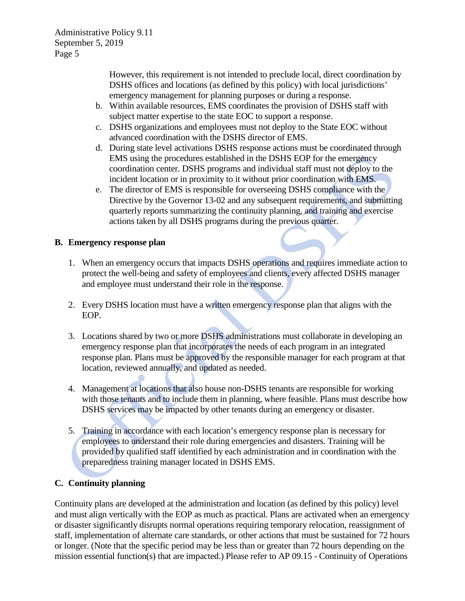However, this requirement is not intended to preclude local, direct coordination by DSHS offices and locations (as defined by this policy) with local jurisdictions' emergency management for planning purposes or during a response.

- b. Within available resources, EMS coordinates the provision of DSHS staff with subject matter expertise to the state EOC to support a response.
- c. DSHS organizations and employees must not deploy to the State EOC without advanced coordination with the DSHS director of EMS.
- d. During state level activations DSHS response actions must be coordinated through EMS using the procedures established in the DSHS EOP for the emergency coordination center. DSHS programs and individual staff must not deploy to the incident location or in proximity to it without prior coordination with EMS.
- e. The director of EMS is responsible for overseeing DSHS compliance with the Directive by the Governor 13-02 and any subsequent requirements, and submitting quarterly reports summarizing the continuity planning, and training and exercise actions taken by all DSHS programs during the previous quarter.

# **B. Emergency response plan**

- 1. When an emergency occurs that impacts DSHS operations and requires immediate action to protect the well-being and safety of employees and clients, every affected DSHS manager and employee must understand their role in the response.
- 2. Every DSHS location must have a written emergency response plan that aligns with the EOP.
- 3. Locations shared by two or more DSHS administrations must collaborate in developing an emergency response plan that incorporates the needs of each program in an integrated response plan. Plans must be approved by the responsible manager for each program at that location, reviewed annually, and updated as needed.
- 4. Management at locations that also house non-DSHS tenants are responsible for working with those tenants and to include them in planning, where feasible. Plans must describe how DSHS services may be impacted by other tenants during an emergency or disaster.
- 5. Training in accordance with each location's emergency response plan is necessary for employees to understand their role during emergencies and disasters. Training will be provided by qualified staff identified by each administration and in coordination with the preparedness training manager located in DSHS EMS.

# **C. Continuity planning**

Continuity plans are developed at the administration and location (as defined by this policy) level and must align vertically with the EOP as much as practical. Plans are activated when an emergency or disaster significantly disrupts normal operations requiring temporary relocation, reassignment of staff, implementation of alternate care standards, or other actions that must be sustained for 72 hours or longer. (Note that the specific period may be less than or greater than 72 hours depending on the mission essential function(s) that are impacted.) Please refer to AP 09.15 - Continuity of Operations